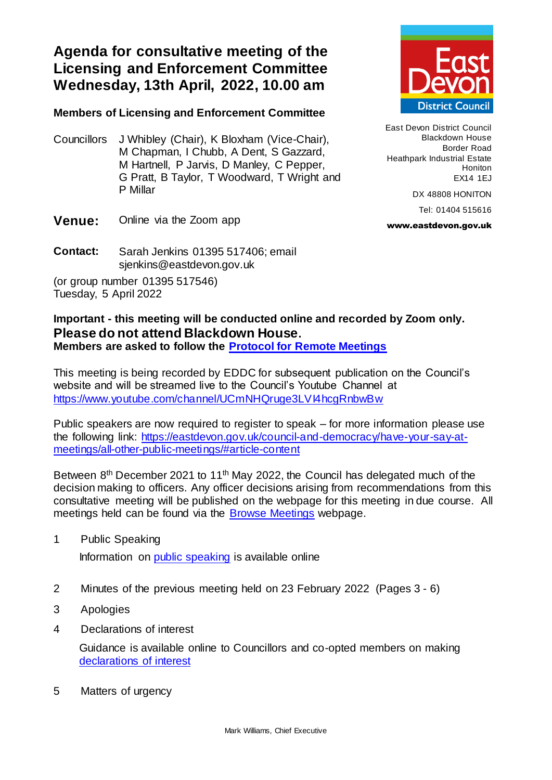**Agenda for consultative meeting of the Licensing and Enforcement Committee Wednesday, 13th April, 2022, 10.00 am**

## **Members of Licensing and Enforcement Committee**

Councillors J Whibley (Chair), K Bloxham (Vice-Chair), M Chapman, I Chubb, A Dent, S Gazzard, M Hartnell, P Jarvis, D Manley, C Pepper, G Pratt, B Taylor, T Woodward, T Wright and P Millar



East Devon District Council Blackdown House Border Road Heathpark Industrial Estate Honiton EX14 1EJ

DX 48808 HONITON

Tel: 01404 515616

www.eastdevon.gov.uk

- **Venue:** Online via the Zoom app
- **Contact:** Sarah Jenkins 01395 517406; email sjenkins@eastdevon.gov.uk

(or group number 01395 517546) Tuesday, 5 April 2022

## **Important - this meeting will be conducted online and recorded by Zoom only. Please do not attend Blackdown House. Members are asked to follow the [Protocol for Remote Meetings](http://eastdevon.gov.uk/council-and-democracy/protocol-for-virtual-meetings)**

This meeting is being recorded by EDDC for subsequent publication on the Council's website and will be streamed live to the Council's Youtube Channel at <https://www.youtube.com/channel/UCmNHQruge3LVI4hcgRnbwBw>

Public speakers are now required to register to speak – for more information please use the following link: [https://eastdevon.gov.uk/council-and-democracy/have-your-say-at](https://eastdevon.gov.uk/council-and-democracy/have-your-say-at-meetings/all-other-public-meetings/#article-content)[meetings/all-other-public-meetings/#article-content](https://eastdevon.gov.uk/council-and-democracy/have-your-say-at-meetings/all-other-public-meetings/#article-content)

Between 8<sup>th</sup> December 2021 to 11<sup>th</sup> May 2022, the Council has delegated much of the decision making to officers. Any officer decisions arising from recommendations from this consultative meeting will be published on the webpage for this meeting in due course. All meetings held can be found via the [Browse Meetings](https://democracy.eastdevon.gov.uk/ieDocHome.aspx?bcr=1) webpage.

1 Public Speaking

Information on [public speaking](https://eastdevon.gov.uk/council-and-democracy/have-your-say-at-meetings/all-other-public-meetings/#article-content) is available online

- 2 Minutes of the previous meeting held on 23 February 2022(Pages 3 6)
- 3 Apologies
- 4 Declarations of interest

Guidance is available online to Councillors and co-opted members on making [declarations of interest](http://eastdevon.gov.uk/council-and-democracy/councillor-conduct/councillor-reminder-for-declaring-interests/)

5 Matters of urgency